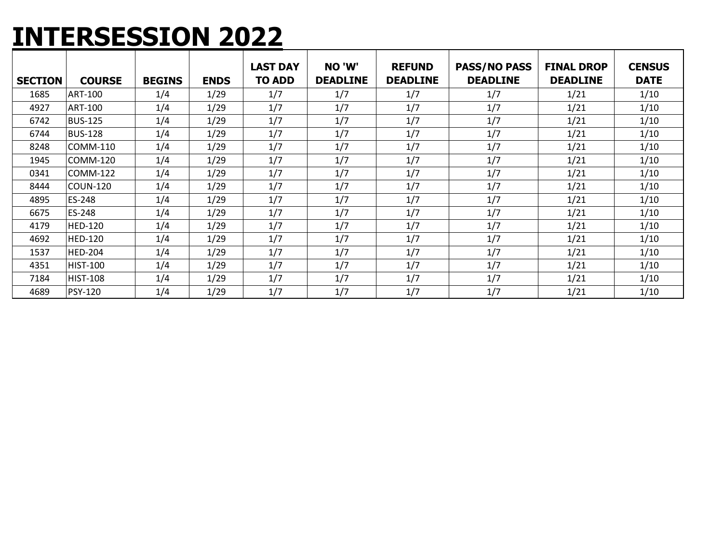#### **INTERSESSION 2022**

|                |                 |               |             | <b>LAST DAY</b> | NO 'W'          | <b>REFUND</b>   | <b>PASS/NO PASS</b> | <b>FINAL DROP</b> | <b>CENSUS</b> |
|----------------|-----------------|---------------|-------------|-----------------|-----------------|-----------------|---------------------|-------------------|---------------|
| <b>SECTION</b> | <b>COURSE</b>   | <b>BEGINS</b> | <b>ENDS</b> | <b>TO ADD</b>   | <b>DEADLINE</b> | <b>DEADLINE</b> | <b>DEADLINE</b>     | <b>DEADLINE</b>   | <b>DATE</b>   |
| 1685           | <b>ART-100</b>  | 1/4           | 1/29        | 1/7             | 1/7             | 1/7             | 1/7                 | 1/21              | 1/10          |
| 4927           | <b>ART-100</b>  | 1/4           | 1/29        | 1/7             | 1/7             | 1/7             | 1/7                 | 1/21              | 1/10          |
| 6742           | <b>BUS-125</b>  | 1/4           | 1/29        | 1/7             | 1/7             | 1/7             | 1/7                 | 1/21              | 1/10          |
| 6744           | <b>BUS-128</b>  | 1/4           | 1/29        | 1/7             | 1/7             | 1/7             | 1/7                 | 1/21              | 1/10          |
| 8248           | COMM-110        | 1/4           | 1/29        | 1/7             | 1/7             | 1/7             | 1/7                 | 1/21              | 1/10          |
| 1945           | COMM-120        | 1/4           | 1/29        | 1/7             | 1/7             | 1/7             | 1/7                 | 1/21              | 1/10          |
| 0341           | COMM-122        | 1/4           | 1/29        | 1/7             | 1/7             | 1/7             | 1/7                 | 1/21              | 1/10          |
| 8444           | <b>COUN-120</b> | 1/4           | 1/29        | 1/7             | 1/7             | 1/7             | 1/7                 | 1/21              | 1/10          |
| 4895           | ES-248          | 1/4           | 1/29        | 1/7             | 1/7             | 1/7             | 1/7                 | 1/21              | 1/10          |
| 6675           | ES-248          | 1/4           | 1/29        | 1/7             | 1/7             | 1/7             | 1/7                 | 1/21              | 1/10          |
| 4179           | <b>HED-120</b>  | 1/4           | 1/29        | 1/7             | 1/7             | 1/7             | 1/7                 | 1/21              | 1/10          |
| 4692           | <b>HED-120</b>  | 1/4           | 1/29        | 1/7             | 1/7             | 1/7             | 1/7                 | 1/21              | 1/10          |
| 1537           | <b>HED-204</b>  | 1/4           | 1/29        | 1/7             | 1/7             | 1/7             | 1/7                 | 1/21              | 1/10          |
| 4351           | <b>HIST-100</b> | 1/4           | 1/29        | 1/7             | 1/7             | 1/7             | 1/7                 | 1/21              | 1/10          |
| 7184           | <b>HIST-108</b> | 1/4           | 1/29        | 1/7             | 1/7             | 1/7             | 1/7                 | 1/21              | 1/10          |
| 4689           | <b>PSY-120</b>  | 1/4           | 1/29        | 1/7             | 1/7             | 1/7             | 1/7                 | 1/21              | 1/10          |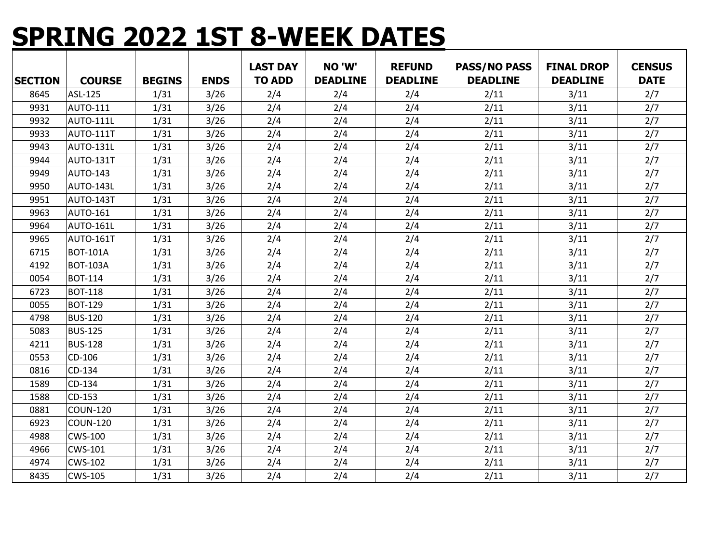# **SPRING 2022 1ST 8-WEEK DATES**

|                |                  |               |             | <b>LAST DAY</b> | NO 'W'          | <b>REFUND</b>   | <b>PASS/NO PASS</b> | <b>FINAL DROP</b> | <b>CENSUS</b> |
|----------------|------------------|---------------|-------------|-----------------|-----------------|-----------------|---------------------|-------------------|---------------|
| <b>SECTION</b> | <b>COURSE</b>    | <b>BEGINS</b> | <b>ENDS</b> | <b>TO ADD</b>   | <b>DEADLINE</b> | <b>DEADLINE</b> | <b>DEADLINE</b>     | <b>DEADLINE</b>   | <b>DATE</b>   |
| 8645           | ASL-125          | 1/31          | 3/26        | 2/4             | 2/4             | 2/4             | 2/11                | 3/11              | 2/7           |
| 9931           | <b>AUTO-111</b>  | 1/31          | 3/26        | 2/4             | 2/4             | 2/4             | 2/11                | 3/11              | 2/7           |
| 9932           | <b>AUTO-111L</b> | 1/31          | 3/26        | 2/4             | 2/4             | 2/4             | 2/11                | 3/11              | 2/7           |
| 9933           | AUTO-111T        | 1/31          | 3/26        | 2/4             | 2/4             | 2/4             | 2/11                | 3/11              | 2/7           |
| 9943           | <b>AUTO-131L</b> | 1/31          | 3/26        | 2/4             | 2/4             | 2/4             | 2/11                | 3/11              | 2/7           |
| 9944           | AUTO-131T        | 1/31          | 3/26        | 2/4             | 2/4             | 2/4             | 2/11                | 3/11              | 2/7           |
| 9949           | AUTO-143         | 1/31          | 3/26        | 2/4             | 2/4             | 2/4             | 2/11                | 3/11              | 2/7           |
| 9950           | AUTO-143L        | 1/31          | 3/26        | 2/4             | 2/4             | 2/4             | 2/11                | 3/11              | 2/7           |
| 9951           | AUTO-143T        | 1/31          | 3/26        | 2/4             | 2/4             | 2/4             | 2/11                | 3/11              | 2/7           |
| 9963           | <b>AUTO-161</b>  | 1/31          | 3/26        | 2/4             | 2/4             | 2/4             | 2/11                | 3/11              | 2/7           |
| 9964           | AUTO-161L        | 1/31          | 3/26        | 2/4             | 2/4             | 2/4             | 2/11                | 3/11              | 2/7           |
| 9965           | AUTO-161T        | 1/31          | 3/26        | 2/4             | 2/4             | 2/4             | 2/11                | 3/11              | 2/7           |
| 6715           | <b>BOT-101A</b>  | 1/31          | 3/26        | 2/4             | 2/4             | 2/4             | 2/11                | 3/11              | 2/7           |
| 4192           | <b>BOT-103A</b>  | 1/31          | 3/26        | 2/4             | 2/4             | 2/4             | 2/11                | 3/11              | 2/7           |
| 0054           | <b>BOT-114</b>   | 1/31          | 3/26        | 2/4             | 2/4             | 2/4             | 2/11                | 3/11              | 2/7           |
| 6723           | <b>BOT-118</b>   | 1/31          | 3/26        | 2/4             | 2/4             | 2/4             | 2/11                | 3/11              | 2/7           |
| 0055           | <b>BOT-129</b>   | 1/31          | 3/26        | 2/4             | 2/4             | 2/4             | 2/11                | 3/11              | 2/7           |
| 4798           | <b>BUS-120</b>   | 1/31          | 3/26        | 2/4             | 2/4             | 2/4             | 2/11                | 3/11              | 2/7           |
| 5083           | <b>BUS-125</b>   | 1/31          | 3/26        | 2/4             | 2/4             | 2/4             | 2/11                | 3/11              | 2/7           |
| 4211           | <b>BUS-128</b>   | 1/31          | 3/26        | 2/4             | 2/4             | 2/4             | 2/11                | 3/11              | 2/7           |
| 0553           | CD-106           | 1/31          | 3/26        | 2/4             | 2/4             | 2/4             | 2/11                | 3/11              | 2/7           |
| 0816           | CD-134           | 1/31          | 3/26        | 2/4             | 2/4             | 2/4             | 2/11                | 3/11              | 2/7           |
| 1589           | CD-134           | 1/31          | 3/26        | 2/4             | 2/4             | 2/4             | 2/11                | 3/11              | 2/7           |
| 1588           | CD-153           | 1/31          | 3/26        | 2/4             | 2/4             | 2/4             | 2/11                | 3/11              | 2/7           |
| 0881           | <b>COUN-120</b>  | 1/31          | 3/26        | 2/4             | 2/4             | 2/4             | 2/11                | 3/11              | 2/7           |
| 6923           | <b>COUN-120</b>  | 1/31          | 3/26        | 2/4             | 2/4             | 2/4             | 2/11                | 3/11              | 2/7           |
| 4988           | <b>CWS-100</b>   | 1/31          | 3/26        | 2/4             | 2/4             | 2/4             | 2/11                | 3/11              | 2/7           |
| 4966           | <b>CWS-101</b>   | 1/31          | 3/26        | 2/4             | 2/4             | 2/4             | 2/11                | 3/11              | 2/7           |
| 4974           | <b>CWS-102</b>   | 1/31          | 3/26        | 2/4             | 2/4             | 2/4             | 2/11                | 3/11              | 2/7           |
| 8435           | <b>CWS-105</b>   | 1/31          | 3/26        | 2/4             | 2/4             | 2/4             | 2/11                | 3/11              | 2/7           |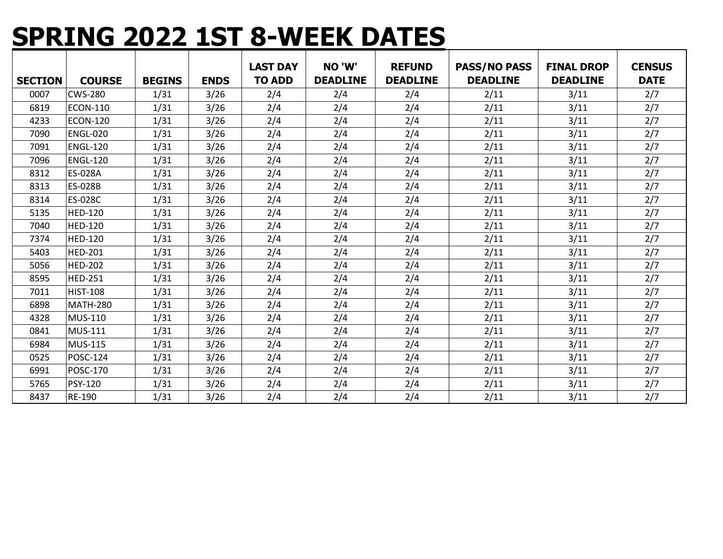# **SPRING 2022 1ST 8-WEEK DATES**

| <b>SECTION</b> | <b>COURSE</b>   | <b>BEGINS</b> | <b>ENDS</b> | <b>LAST DAY</b><br><b>TO ADD</b> | NO 'W'<br><b>DEADLINE</b> | <b>REFUND</b><br><b>DEADLINE</b> | <b>PASS/NO PASS</b><br><b>DEADLINE</b> | <b>FINAL DROP</b><br><b>DEADLINE</b> | <b>CENSUS</b><br><b>DATE</b> |
|----------------|-----------------|---------------|-------------|----------------------------------|---------------------------|----------------------------------|----------------------------------------|--------------------------------------|------------------------------|
| 0007           | <b>CWS-280</b>  | 1/31          | 3/26        | 2/4                              | 2/4                       | 2/4                              | 2/11                                   | 3/11                                 | 2/7                          |
| 6819           | <b>ECON-110</b> | 1/31          | 3/26        | 2/4                              | 2/4                       | 2/4                              | 2/11                                   | 3/11                                 | 2/7                          |
| 4233           | <b>ECON-120</b> | 1/31          | 3/26        | 2/4                              | 2/4                       | 2/4                              | 2/11                                   | 3/11                                 | 2/7                          |
| 7090           | <b>ENGL-020</b> | 1/31          | 3/26        | 2/4                              | 2/4                       | 2/4                              | 2/11                                   | 3/11                                 | 2/7                          |
| 7091           | <b>ENGL-120</b> | 1/31          | 3/26        | 2/4                              | 2/4                       | 2/4                              | 2/11                                   | 3/11                                 | 2/7                          |
| 7096           | <b>ENGL-120</b> | 1/31          | 3/26        | 2/4                              | 2/4                       | 2/4                              | 2/11                                   | 3/11                                 | 2/7                          |
| 8312           | ES-028A         | 1/31          | 3/26        | 2/4                              | 2/4                       | 2/4                              | 2/11                                   | 3/11                                 | 2/7                          |
| 8313           | <b>ES-028B</b>  | 1/31          | 3/26        | 2/4                              | 2/4                       | 2/4                              | 2/11                                   | 3/11                                 | 2/7                          |
| 8314           | ES-028C         | 1/31          | 3/26        | 2/4                              | 2/4                       | 2/4                              | 2/11                                   | 3/11                                 | 2/7                          |
| 5135           | <b>HED-120</b>  | 1/31          | 3/26        | 2/4                              | 2/4                       | 2/4                              | 2/11                                   | 3/11                                 | 2/7                          |
| 7040           | <b>HED-120</b>  | 1/31          | 3/26        | 2/4                              | 2/4                       | 2/4                              | 2/11                                   | 3/11                                 | 2/7                          |
| 7374           | <b>HED-120</b>  | 1/31          | 3/26        | 2/4                              | 2/4                       | 2/4                              | 2/11                                   | 3/11                                 | 2/7                          |
| 5403           | <b>HED-201</b>  | 1/31          | 3/26        | 2/4                              | 2/4                       | 2/4                              | 2/11                                   | 3/11                                 | 2/7                          |
| 5056           | <b>HED-202</b>  | 1/31          | 3/26        | 2/4                              | 2/4                       | 2/4                              | 2/11                                   | 3/11                                 | 2/7                          |
| 8595           | <b>HED-251</b>  | 1/31          | 3/26        | 2/4                              | 2/4                       | 2/4                              | 2/11                                   | 3/11                                 | 2/7                          |
| 7011           | <b>HIST-108</b> | 1/31          | 3/26        | 2/4                              | 2/4                       | 2/4                              | 2/11                                   | 3/11                                 | 2/7                          |
| 6898           | <b>MATH-280</b> | 1/31          | 3/26        | 2/4                              | 2/4                       | 2/4                              | 2/11                                   | 3/11                                 | 2/7                          |
| 4328           | <b>MUS-110</b>  | 1/31          | 3/26        | 2/4                              | 2/4                       | 2/4                              | 2/11                                   | 3/11                                 | 2/7                          |
| 0841           | <b>MUS-111</b>  | 1/31          | 3/26        | 2/4                              | 2/4                       | 2/4                              | 2/11                                   | 3/11                                 | 2/7                          |
| 6984           | <b>MUS-115</b>  | 1/31          | 3/26        | 2/4                              | 2/4                       | 2/4                              | 2/11                                   | 3/11                                 | 2/7                          |
| 0525           | <b>POSC-124</b> | 1/31          | 3/26        | 2/4                              | 2/4                       | 2/4                              | 2/11                                   | 3/11                                 | 2/7                          |
| 6991           | <b>POSC-170</b> | 1/31          | 3/26        | 2/4                              | 2/4                       | 2/4                              | 2/11                                   | 3/11                                 | 2/7                          |
| 5765           | <b>PSY-120</b>  | 1/31          | 3/26        | 2/4                              | 2/4                       | 2/4                              | 2/11                                   | 3/11                                 | 2/7                          |
| 8437           | RE-190          | 1/31          | 3/26        | 2/4                              | 2/4                       | 2/4                              | 2/11                                   | 3/11                                 | 2/7                          |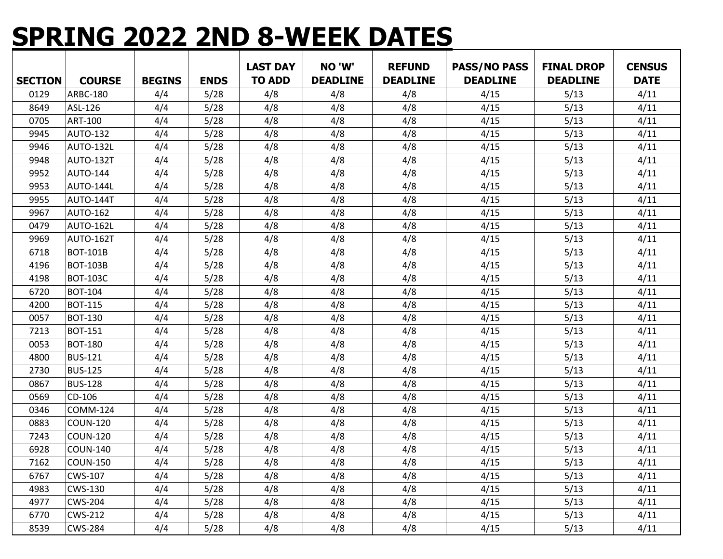## **SPRING 2022 2ND 8-WEEK DATES**

|                |                 |               |             | <b>LAST DAY</b> | NO 'W'          | <b>REFUND</b>   | <b>PASS/NO PASS</b> | <b>FINAL DROP</b> | <b>CENSUS</b> |
|----------------|-----------------|---------------|-------------|-----------------|-----------------|-----------------|---------------------|-------------------|---------------|
| <b>SECTION</b> | <b>COURSE</b>   | <b>BEGINS</b> | <b>ENDS</b> | <b>TO ADD</b>   | <b>DEADLINE</b> | <b>DEADLINE</b> | <b>DEADLINE</b>     | <b>DEADLINE</b>   | <b>DATE</b>   |
| 0129           | ARBC-180        | 4/4           | 5/28        | 4/8             | 4/8             | 4/8             | 4/15                | 5/13              | 4/11          |
| 8649           | ASL-126         | 4/4           | 5/28        | 4/8             | 4/8             | 4/8             | 4/15                | 5/13              | 4/11          |
| 0705           | ART-100         | 4/4           | 5/28        | 4/8             | 4/8             | 4/8             | 4/15                | 5/13              | 4/11          |
| 9945           | AUTO-132        | 4/4           | 5/28        | 4/8             | 4/8             | 4/8             | 4/15                | 5/13              | 4/11          |
| 9946           | AUTO-132L       | 4/4           | 5/28        | 4/8             | 4/8             | 4/8             | 4/15                | 5/13              | 4/11          |
| 9948           | AUTO-132T       | 4/4           | 5/28        | 4/8             | 4/8             | 4/8             | 4/15                | 5/13              | 4/11          |
| 9952           | AUTO-144        | 4/4           | 5/28        | 4/8             | 4/8             | 4/8             | 4/15                | 5/13              | 4/11          |
| 9953           | AUTO-144L       | 4/4           | 5/28        | 4/8             | 4/8             | 4/8             | 4/15                | 5/13              | 4/11          |
| 9955           | AUTO-144T       | 4/4           | 5/28        | 4/8             | 4/8             | 4/8             | 4/15                | 5/13              | 4/11          |
| 9967           | <b>AUTO-162</b> | 4/4           | 5/28        | 4/8             | 4/8             | 4/8             | 4/15                | 5/13              | 4/11          |
| 0479           | AUTO-162L       | 4/4           | 5/28        | 4/8             | 4/8             | 4/8             | 4/15                | 5/13              | 4/11          |
| 9969           | AUTO-162T       | 4/4           | 5/28        | 4/8             | 4/8             | 4/8             | 4/15                | 5/13              | 4/11          |
| 6718           | <b>BOT-101B</b> | 4/4           | 5/28        | 4/8             | 4/8             | 4/8             | 4/15                | 5/13              | 4/11          |
| 4196           | <b>BOT-103B</b> | 4/4           | 5/28        | 4/8             | 4/8             | 4/8             | 4/15                | 5/13              | 4/11          |
| 4198           | <b>BOT-103C</b> | 4/4           | 5/28        | 4/8             | 4/8             | 4/8             | 4/15                | 5/13              | 4/11          |
| 6720           | <b>BOT-104</b>  | 4/4           | 5/28        | 4/8             | 4/8             | 4/8             | 4/15                | 5/13              | 4/11          |
| 4200           | <b>BOT-115</b>  | 4/4           | 5/28        | 4/8             | 4/8             | 4/8             | 4/15                | 5/13              | 4/11          |
| 0057           | <b>BOT-130</b>  | 4/4           | 5/28        | 4/8             | 4/8             | 4/8             | 4/15                | 5/13              | 4/11          |
| 7213           | <b>BOT-151</b>  | 4/4           | 5/28        | 4/8             | 4/8             | 4/8             | 4/15                | 5/13              | 4/11          |
| 0053           | <b>BOT-180</b>  | 4/4           | 5/28        | 4/8             | 4/8             | 4/8             | 4/15                | 5/13              | 4/11          |
| 4800           | <b>BUS-121</b>  | 4/4           | 5/28        | 4/8             | 4/8             | 4/8             | 4/15                | 5/13              | 4/11          |
| 2730           | <b>BUS-125</b>  | 4/4           | 5/28        | 4/8             | 4/8             | 4/8             | 4/15                | 5/13              | 4/11          |
| 0867           | <b>BUS-128</b>  | 4/4           | 5/28        | 4/8             | 4/8             | 4/8             | 4/15                | 5/13              | 4/11          |
| 0569           | CD-106          | 4/4           | 5/28        | 4/8             | 4/8             | 4/8             | 4/15                | 5/13              | 4/11          |
| 0346           | <b>COMM-124</b> | 4/4           | 5/28        | 4/8             | 4/8             | 4/8             | 4/15                | 5/13              | 4/11          |
| 0883           | <b>COUN-120</b> | 4/4           | 5/28        | 4/8             | 4/8             | 4/8             | 4/15                | 5/13              | 4/11          |
| 7243           | <b>COUN-120</b> | 4/4           | 5/28        | 4/8             | 4/8             | 4/8             | 4/15                | 5/13              | 4/11          |
| 6928           | <b>COUN-140</b> | 4/4           | 5/28        | 4/8             | 4/8             | 4/8             | 4/15                | 5/13              | 4/11          |
| 7162           | COUN-150        | 4/4           | 5/28        | 4/8             | 4/8             | 4/8             | 4/15                | 5/13              | 4/11          |
| 6767           | <b>CWS-107</b>  | 4/4           | 5/28        | 4/8             | 4/8             | 4/8             | 4/15                | 5/13              | 4/11          |
| 4983           | CWS-130         | 4/4           | 5/28        | 4/8             | 4/8             | 4/8             | 4/15                | 5/13              | 4/11          |
| 4977           | <b>CWS-204</b>  | 4/4           | 5/28        | 4/8             | 4/8             | 4/8             | 4/15                | 5/13              | 4/11          |
| 6770           | <b>CWS-212</b>  | 4/4           | 5/28        | 4/8             | 4/8             | 4/8             | 4/15                | 5/13              | 4/11          |
| 8539           | <b>CWS-284</b>  | 4/4           | 5/28        | 4/8             | 4/8             | 4/8             | 4/15                | 5/13              | 4/11          |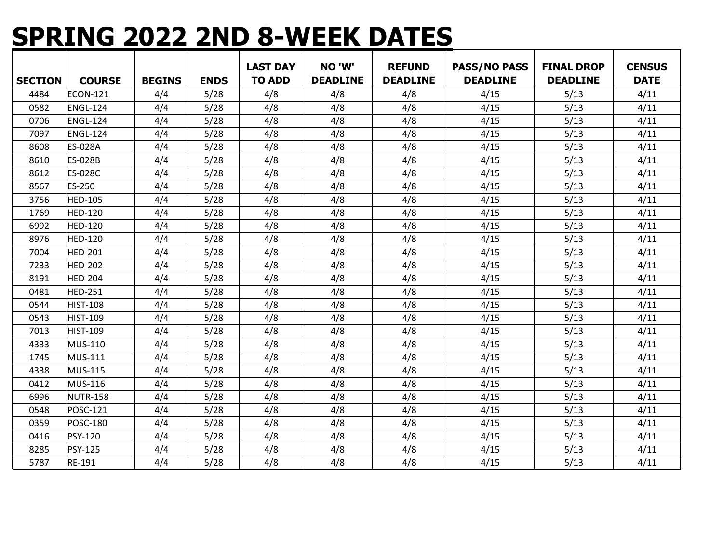## **SPRING 2022 2ND 8-WEEK DATES**

| <b>SECTION</b> | <b>COURSE</b>   | <b>BEGINS</b> | <b>ENDS</b> | <b>LAST DAY</b><br><b>TO ADD</b> | NO 'W'<br><b>DEADLINE</b> | <b>REFUND</b><br><b>DEADLINE</b> | <b>PASS/NO PASS</b><br><b>DEADLINE</b> | <b>FINAL DROP</b><br><b>DEADLINE</b> | <b>CENSUS</b><br><b>DATE</b> |
|----------------|-----------------|---------------|-------------|----------------------------------|---------------------------|----------------------------------|----------------------------------------|--------------------------------------|------------------------------|
| 4484           | <b>ECON-121</b> | 4/4           | 5/28        | 4/8                              | 4/8                       | 4/8                              | 4/15                                   | 5/13                                 | 4/11                         |
| 0582           | <b>ENGL-124</b> | 4/4           |             | 4/8                              | 4/8                       | 4/8                              | 4/15                                   |                                      | 4/11                         |
|                |                 |               | 5/28        |                                  |                           |                                  |                                        | 5/13                                 |                              |
| 0706           | <b>ENGL-124</b> | 4/4           | 5/28        | 4/8                              | 4/8                       | 4/8                              | 4/15                                   | 5/13                                 | 4/11                         |
| 7097           | <b>ENGL-124</b> | 4/4           | 5/28        | 4/8                              | 4/8                       | 4/8                              | 4/15                                   | 5/13                                 | 4/11                         |
| 8608           | ES-028A         | 4/4           | 5/28        | 4/8                              | 4/8                       | 4/8                              | 4/15                                   | 5/13                                 | 4/11                         |
| 8610           | ES-028B         | 4/4           | 5/28        | 4/8                              | 4/8                       | 4/8                              | 4/15                                   | 5/13                                 | 4/11                         |
| 8612           | ES-028C         | 4/4           | 5/28        | 4/8                              | 4/8                       | 4/8                              | 4/15                                   | 5/13                                 | 4/11                         |
| 8567           | ES-250          | 4/4           | 5/28        | 4/8                              | 4/8                       | 4/8                              | 4/15                                   | 5/13                                 | 4/11                         |
| 3756           | <b>HED-105</b>  | 4/4           | 5/28        | 4/8                              | 4/8                       | 4/8                              | 4/15                                   | 5/13                                 | 4/11                         |
| 1769           | <b>HED-120</b>  | 4/4           | 5/28        | 4/8                              | 4/8                       | 4/8                              | 4/15                                   | 5/13                                 | 4/11                         |
| 6992           | <b>HED-120</b>  | 4/4           | 5/28        | 4/8                              | 4/8                       | 4/8                              | 4/15                                   | 5/13                                 | 4/11                         |
| 8976           | <b>HED-120</b>  | 4/4           | 5/28        | 4/8                              | 4/8                       | 4/8                              | 4/15                                   | 5/13                                 | 4/11                         |
| 7004           | <b>HED-201</b>  | 4/4           | 5/28        | 4/8                              | 4/8                       | 4/8                              | 4/15                                   | 5/13                                 | 4/11                         |
| 7233           | <b>HED-202</b>  | 4/4           | 5/28        | 4/8                              | 4/8                       | 4/8                              | 4/15                                   | 5/13                                 | 4/11                         |
| 8191           | <b>HED-204</b>  | 4/4           | 5/28        | 4/8                              | 4/8                       | 4/8                              | 4/15                                   | 5/13                                 | 4/11                         |
| 0481           | <b>HED-251</b>  | 4/4           | 5/28        | 4/8                              | 4/8                       | 4/8                              | 4/15                                   | 5/13                                 | 4/11                         |
| 0544           | <b>HIST-108</b> | 4/4           | 5/28        | 4/8                              | 4/8                       | 4/8                              | 4/15                                   | 5/13                                 | 4/11                         |
| 0543           | <b>HIST-109</b> | 4/4           | 5/28        | 4/8                              | 4/8                       | 4/8                              | 4/15                                   | 5/13                                 | 4/11                         |
| 7013           | <b>HIST-109</b> | 4/4           | 5/28        | 4/8                              | 4/8                       | 4/8                              | 4/15                                   | 5/13                                 | 4/11                         |
| 4333           | MUS-110         | 4/4           | 5/28        | 4/8                              | 4/8                       | 4/8                              | 4/15                                   | 5/13                                 | 4/11                         |
| 1745           | <b>MUS-111</b>  | 4/4           | 5/28        | 4/8                              | 4/8                       | 4/8                              | 4/15                                   | 5/13                                 | 4/11                         |
| 4338           | <b>MUS-115</b>  | 4/4           | 5/28        | 4/8                              | 4/8                       | 4/8                              | 4/15                                   | 5/13                                 | 4/11                         |
| 0412           | MUS-116         | 4/4           | 5/28        | 4/8                              | 4/8                       | 4/8                              | 4/15                                   | 5/13                                 | 4/11                         |
| 6996           | <b>NUTR-158</b> | 4/4           | 5/28        | 4/8                              | 4/8                       | 4/8                              | 4/15                                   | 5/13                                 | 4/11                         |
| 0548           | <b>POSC-121</b> | 4/4           | 5/28        | 4/8                              | 4/8                       | 4/8                              | 4/15                                   | 5/13                                 | 4/11                         |
| 0359           | POSC-180        | 4/4           | 5/28        | 4/8                              | 4/8                       | 4/8                              | 4/15                                   | 5/13                                 | 4/11                         |
| 0416           | PSY-120         | 4/4           | 5/28        | 4/8                              | 4/8                       | 4/8                              | 4/15                                   | 5/13                                 | 4/11                         |
| 8285           | PSY-125         | 4/4           | 5/28        | 4/8                              | 4/8                       | 4/8                              | 4/15                                   | 5/13                                 | 4/11                         |
| 5787           | RE-191          | 4/4           | 5/28        | 4/8                              | 4/8                       | 4/8                              | 4/15                                   | 5/13                                 | 4/11                         |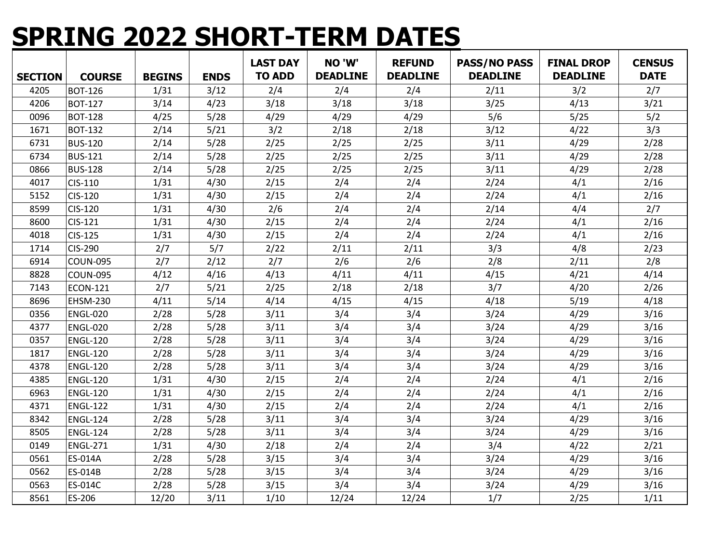# **SPRING 2022 SHORT-TERM DATES**

|                |                 |               |             | <b>LAST DAY</b> | NO 'W'          | <b>REFUND</b>   | <b>PASS/NO PASS</b> | <b>FINAL DROP</b> | <b>CENSUS</b> |
|----------------|-----------------|---------------|-------------|-----------------|-----------------|-----------------|---------------------|-------------------|---------------|
| <b>SECTION</b> | <b>COURSE</b>   | <b>BEGINS</b> | <b>ENDS</b> | <b>TO ADD</b>   | <b>DEADLINE</b> | <b>DEADLINE</b> | <b>DEADLINE</b>     | <b>DEADLINE</b>   | <b>DATE</b>   |
| 4205           | <b>BOT-126</b>  | 1/31          | 3/12        | 2/4             | 2/4             | 2/4             | 2/11                | 3/2               | 2/7           |
| 4206           | <b>BOT-127</b>  | 3/14          | 4/23        | 3/18            | 3/18            | 3/18            | 3/25                | 4/13              | 3/21          |
| 0096           | <b>BOT-128</b>  | 4/25          | 5/28        | 4/29            | 4/29            | 4/29            | 5/6                 | 5/25              | 5/2           |
| 1671           | <b>BOT-132</b>  | 2/14          | 5/21        | 3/2             | 2/18            | 2/18            | 3/12                | 4/22              | 3/3           |
| 6731           | <b>BUS-120</b>  | 2/14          | 5/28        | 2/25            | 2/25            | 2/25            | 3/11                | 4/29              | 2/28          |
| 6734           | <b>BUS-121</b>  | 2/14          | 5/28        | 2/25            | 2/25            | 2/25            | 3/11                | 4/29              | 2/28          |
| 0866           | <b>BUS-128</b>  | 2/14          | 5/28        | 2/25            | 2/25            | 2/25            | 3/11                | 4/29              | 2/28          |
| 4017           | CIS-110         | 1/31          | 4/30        | 2/15            | 2/4             | 2/4             | 2/24                | 4/1               | 2/16          |
| 5152           | CIS-120         | 1/31          | 4/30        | 2/15            | 2/4             | 2/4             | 2/24                | 4/1               | 2/16          |
| 8599           | CIS-120         | 1/31          | 4/30        | 2/6             | 2/4             | 2/4             | 2/14                | 4/4               | 2/7           |
| 8600           | CIS-121         | 1/31          | 4/30        | 2/15            | 2/4             | 2/4             | 2/24                | 4/1               | 2/16          |
| 4018           | CIS-125         | 1/31          | 4/30        | 2/15            | 2/4             | 2/4             | 2/24                | 4/1               | 2/16          |
| 1714           | CIS-290         | 2/7           | 5/7         | 2/22            | 2/11            | 2/11            | 3/3                 | 4/8               | 2/23          |
| 6914           | <b>COUN-095</b> | 2/7           | 2/12        | 2/7             | 2/6             | 2/6             | 2/8                 | 2/11              | 2/8           |
| 8828           | <b>COUN-095</b> | 4/12          | 4/16        | 4/13            | 4/11            | 4/11            | 4/15                | 4/21              | 4/14          |
| 7143           | <b>ECON-121</b> | 2/7           | 5/21        | 2/25            | 2/18            | 2/18            | 3/7                 | 4/20              | 2/26          |
| 8696           | <b>EHSM-230</b> | 4/11          | 5/14        | 4/14            | 4/15            | 4/15            | 4/18                | 5/19              | 4/18          |
| 0356           | <b>ENGL-020</b> | 2/28          | 5/28        | 3/11            | 3/4             | 3/4             | 3/24                | 4/29              | 3/16          |
| 4377           | <b>ENGL-020</b> | 2/28          | 5/28        | 3/11            | 3/4             | 3/4             | 3/24                | 4/29              | 3/16          |
| 0357           | <b>ENGL-120</b> | 2/28          | 5/28        | 3/11            | 3/4             | 3/4             | 3/24                | 4/29              | 3/16          |
| 1817           | <b>ENGL-120</b> | 2/28          | 5/28        | 3/11            | 3/4             | 3/4             | 3/24                | 4/29              | 3/16          |
| 4378           | <b>ENGL-120</b> | 2/28          | 5/28        | 3/11            | 3/4             | 3/4             | 3/24                | 4/29              | 3/16          |
| 4385           | <b>ENGL-120</b> | 1/31          | 4/30        | 2/15            | 2/4             | 2/4             | 2/24                | 4/1               | 2/16          |
| 6963           | <b>ENGL-120</b> | 1/31          | 4/30        | 2/15            | 2/4             | 2/4             | 2/24                | 4/1               | 2/16          |
| 4371           | <b>ENGL-122</b> | 1/31          | 4/30        | 2/15            | 2/4             | 2/4             | 2/24                | 4/1               | 2/16          |
| 8342           | <b>ENGL-124</b> | 2/28          | 5/28        | 3/11            | 3/4             | 3/4             | 3/24                | 4/29              | 3/16          |
| 8505           | <b>ENGL-124</b> | 2/28          | 5/28        | 3/11            | 3/4             | 3/4             | 3/24                | 4/29              | 3/16          |
| 0149           | <b>ENGL-271</b> | 1/31          | 4/30        | 2/18            | 2/4             | 2/4             | 3/4                 | 4/22              | 2/21          |
| 0561           | ES-014A         | 2/28          | 5/28        | 3/15            | 3/4             | 3/4             | 3/24                | 4/29              | 3/16          |
| 0562           | ES-014B         | 2/28          | 5/28        | 3/15            | 3/4             | 3/4             | 3/24                | 4/29              | 3/16          |
| 0563           | ES-014C         | 2/28          | 5/28        | 3/15            | 3/4             | 3/4             | 3/24                | 4/29              | 3/16          |
| 8561           | ES-206          | 12/20         | 3/11        | 1/10            | 12/24           | 12/24           | 1/7                 | 2/25              | 1/11          |